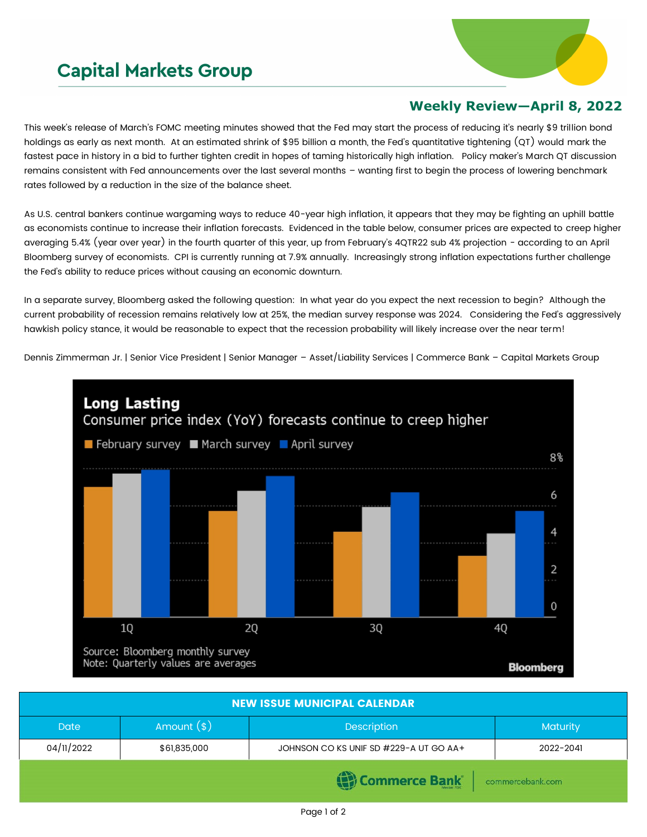## **Capital Markets Group**



## **Weekly Review—April 8, 2022**

This week's release of March's FOMC meeting minutes showed that the Fed may start the process of reducing it's nearly \$9 trillion bond holdings as early as next month. At an estimated shrink of \$95 billion a month, the Fed's quantitative tightening (QT) would mark the fastest pace in history in a bid to further tighten credit in hopes of taming historically high inflation. Policy maker's March QT discussion remains consistent with Fed announcements over the last several months – wanting first to begin the process of lowering benchmark rates followed by a reduction in the size of the balance sheet.

As U.S. central bankers continue wargaming ways to reduce 40-year high inflation, it appears that they may be fighting an uphill battle as economists continue to increase their inflation forecasts. Evidenced in the table below, consumer prices are expected to creep higher averaging 5.4% (year over year) in the fourth quarter of this year, up from February's 4QTR22 sub 4% projection - according to an April Bloomberg survey of economists. CPI is currently running at 7.9% annually. Increasingly strong inflation expectations further challenge the Fed's ability to reduce prices without causing an economic downturn.

In a separate survey, Bloomberg asked the following question: In what year do you expect the next recession to begin? Although the current probability of recession remains relatively low at 25%, the median survey response was 2024. Considering the Fed's aggressively hawkish policy stance, it would be reasonable to expect that the recession probability will likely increase over the near term!

Dennis Zimmerman Jr. | Senior Vice President | Senior Manager – Asset/Liability Services | Commerce Bank – Capital Markets Group



| <b>NEW ISSUE MUNICIPAL CALENDAR</b> |              |                                        |                 |  |  |  |
|-------------------------------------|--------------|----------------------------------------|-----------------|--|--|--|
| <b>Date</b>                         | Amount $(*)$ | <b>Description</b>                     | <b>Maturity</b> |  |  |  |
| 04/11/2022                          | \$61,835,000 | JOHNSON CO KS UNIF SD #229-A UT GO AA+ | 2022-2041       |  |  |  |
| Commerce Bank<br>commercebank.com   |              |                                        |                 |  |  |  |